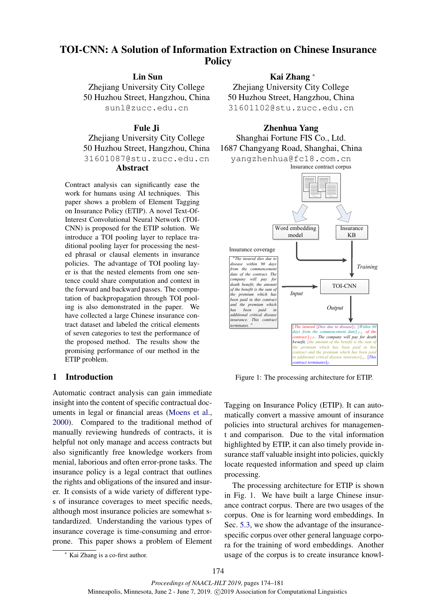# TOI-CNN: A Solution of Information Extraction on Chinese Insurance **Policy**

Lin Sun

Zhejiang University City College 50 Huzhou Street, Hangzhou, China sunl@zucc.edu.cn

### Fule Ji

Zhejiang University City College 50 Huzhou Street, Hangzhou, China 31601087@stu.zucc.edu.cn Abstract

Contract analysis can significantly ease the work for humans using AI techniques. This paper shows a problem of Element Tagging on Insurance Policy (ETIP). A novel Text-Of-Interest Convolutional Neural Network (TOI-CNN) is proposed for the ETIP solution. We introduce a TOI pooling layer to replace traditional pooling layer for processing the nested phrasal or clausal elements in insurance policies. The advantage of TOI pooling layer is that the nested elements from one sentence could share computation and context in the forward and backward passes. The computation of backpropagation through TOI pooling is also demonstrated in the paper. We have collected a large Chinese insurance contract dataset and labeled the critical elements of seven categories to test the performance of the proposed method. The results show the promising performance of our method in the ETIP problem.

### 1 Introduction

Automatic contract analysis can gain immediate insight into the content of specific contractual documents in legal or financial areas [\(Moens et al.,](#page-6-0) [2000\)](#page-6-0). Compared to the traditional method of manually reviewing hundreds of contracts, it is helpful not only manage and access contracts but also significantly free knowledge workers from menial, laborious and often error-prone tasks. The insurance policy is a legal contract that outlines the rights and obligations of the insured and insurer. It consists of a wide variety of different types of insurance coverages to meet specific needs, although most insurance policies are somewhat standardized. Understanding the various types of insurance coverage is time-consuming and errorprone. This paper shows a problem of Element

<sup>∗</sup> Kai Zhang is a co-first author.

## Kai Zhang <sup>∗</sup>

Zhejiang University City College 50 Huzhou Street, Hangzhou, China 31601102@stu.zucc.edu.cn



<span id="page-0-0"></span>

Figure 1: The processing architecture for ETIP.

Tagging on Insurance Policy (ETIP). It can automatically convert a massive amount of insurance policies into structural archives for management and comparison. Due to the vital information highlighted by ETIP, it can also timely provide insurance staff valuable insight into policies, quickly locate requested information and speed up claim processing.

The processing architecture for ETIP is shown in Fig. [1.](#page-0-0) We have built a large Chinese insurance contract corpus. There are two usages of the corpus. One is for learning word embeddings. In Sec. [5.3,](#page-4-0) we show the advantage of the insurancespecific corpus over other general language corpora for the training of word embeddings. Another usage of the corpus is to create insurance knowl-

174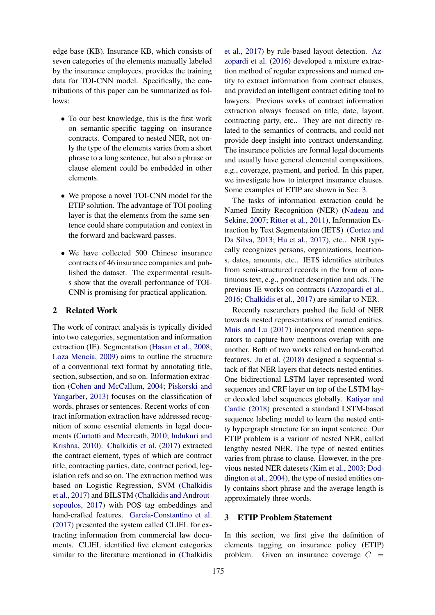edge base (KB). Insurance KB, which consists of seven categories of the elements manually labeled by the insurance employees, provides the training data for TOI-CNN model. Specifically, the contributions of this paper can be summarized as follows:

- To our best knowledge, this is the first work on semantic-specific tagging on insurance contracts. Compared to nested NER, not only the type of the elements varies from a short phrase to a long sentence, but also a phrase or clause element could be embedded in other elements.
- We propose a novel TOI-CNN model for the ETIP solution. The advantage of TOI pooling layer is that the elements from the same sentence could share computation and context in the forward and backward passes.
- We have collected 500 Chinese insurance contracts of 46 insurance companies and published the dataset. The experimental results show that the overall performance of TOI-CNN is promising for practical application.

#### 2 Related Work

The work of contract analysis is typically divided into two categories, segmentation and information extraction (IE). Segmentation [\(Hasan et al.,](#page-6-1) [2008;](#page-6-1) Loza Mencía, [2009\)](#page-6-2) aims to outline the structure of a conventional text format by annotating title, section, subsection, and so on. Information extraction [\(Cohen and McCallum,](#page-6-3) [2004;](#page-6-3) [Piskorski and](#page-7-0) [Yangarber,](#page-7-0) [2013\)](#page-7-0) focuses on the classification of words, phrases or sentences. Recent works of contract information extraction have addressed recognition of some essential elements in legal documents [\(Curtotti and Mccreath,](#page-6-4) [2010;](#page-6-4) [Indukuri and](#page-6-5) [Krishna,](#page-6-5) [2010\)](#page-6-5). [Chalkidis et al.](#page-6-6) [\(2017\)](#page-6-6) extracted the contract element, types of which are contract title, contracting parties, date, contract period, legislation refs and so on. The extraction method was based on Logistic Regression, SVM [\(Chalkidis](#page-6-6) [et al.,](#page-6-6) [2017\)](#page-6-6) and BILSTM [\(Chalkidis and Androut](#page-6-7)[sopoulos,](#page-6-7) [2017\)](#page-6-7) with POS tag embeddings and hand-crafted features. García-Constantino et al. [\(2017\)](#page-6-8) presented the system called CLIEL for extracting information from commercial law documents. CLIEL identified five element categories similar to the literature mentioned in [\(Chalkidis](#page-6-6)

[et al.,](#page-6-6) [2017\)](#page-6-6) by rule-based layout detection. [Az](#page-6-9)[zopardi et al.](#page-6-9) [\(2016\)](#page-6-9) developed a mixture extraction method of regular expressions and named entity to extract information from contract clauses, and provided an intelligent contract editing tool to lawyers. Previous works of contract information extraction always focused on title, date, layout, contracting party, etc.. They are not directly related to the semantics of contracts, and could not provide deep insight into contract understanding. The insurance policies are formal legal documents and usually have general elemental compositions, e.g., coverage, payment, and period. In this paper, we investigate how to interpret insurance clauses. Some examples of ETIP are shown in Sec. [3.](#page-1-0)

The tasks of information extraction could be Named Entity Recognition (NER) [\(Nadeau and](#page-7-1) [Sekine,](#page-7-1) [2007;](#page-7-1) [Ritter et al.,](#page-7-2) [2011\)](#page-7-2), Information Extraction by Text Segmentation (IETS) [\(Cortez and](#page-6-10) [Da Silva,](#page-6-10) [2013;](#page-6-10) [Hu et al.,](#page-6-11) [2017\)](#page-6-11), etc.. NER typically recognizes persons, organizations, locations, dates, amounts, etc.. IETS identifies attributes from semi-structured records in the form of continuous text, e.g., product description and ads. The previous IE works on contracts [\(Azzopardi et al.,](#page-6-9) [2016;](#page-6-9) [Chalkidis et al.,](#page-6-6) [2017\)](#page-6-6) are similar to NER.

Recently researchers pushed the field of NER towards nested representations of named entities. [Muis and Lu](#page-6-12) [\(2017\)](#page-6-12) incorporated mention separators to capture how mentions overlap with one another. Both of two works relied on hand-crafted features. [Ju et al.](#page-6-13) [\(2018\)](#page-6-13) designed a sequential stack of flat NER layers that detects nested entities. One bidirectional LSTM layer represented word sequences and CRF layer on top of the LSTM layer decoded label sequences globally. [Katiyar and](#page-6-14) [Cardie](#page-6-14) [\(2018\)](#page-6-14) presented a standard LSTM-based sequence labeling model to learn the nested entity hypergraph structure for an input sentence. Our ETIP problem is a variant of nested NER, called lengthy nested NER. The type of nested entities varies from phrase to clause. However, in the previous nested NER datesets [\(Kim et al.,](#page-6-15) [2003;](#page-6-15) [Dod](#page-6-16)[dington et al.,](#page-6-16) [2004\)](#page-6-16), the type of nested entities only contains short phrase and the average length is approximately three words.

### <span id="page-1-0"></span>3 ETIP Problem Statement

In this section, we first give the definition of elements tagging on insurance policy (ETIP) problem. Given an insurance coverage  $C =$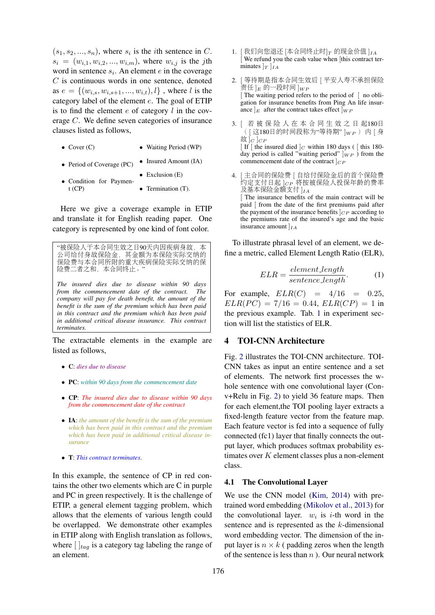$(s_1, s_2, \ldots, s_n)$ , where  $s_i$  is the *i*th sentence in C.  $s_i = (w_{i,1}, w_{i,2}, ..., w_{i,m})$ , where  $w_{i,j}$  is the jth word in sentence  $s_i$ . An element  $e$  in the coverage  $C$  is continuous words in one sentence, denoted as  $e = \{(w_{i,s}, w_{i,s+1}, ..., w_{i,t}), l\}$ , where l is the category label of the element e. The goal of ETIP is to find the element  $e$  of category  $l$  in the coverage C. We define seven categories of insurance clauses listed as follows,

- $\bullet$  Cover (C) • Waiting Period (WP)
- Period of Coverage (PC) • Insured Amount (IA)

• Exclusion  $(E)$ 

• Condition for Payment (CP) • Termination (T).

Here we give a coverage example in ETIP and translate it for English reading paper. One category is represented by one kind of font color.

"被保险人于本合同生效之日90天内因疾病身故,<sup>本</sup> <sup>公</sup>司给付身故保险金,其金额为本保险实际交纳<sup>的</sup> <sup>保</sup>险费与本合同所附的重大疾病保险实际交纳的<sup>保</sup> <sup>险</sup>费二者之和,本合同终止。" *The insured dies due to disease within 90 days from the commencement date of the contract. The company will pay for death benefit, the amount of the benefit is the sum of the premium which has been paid in this contract and the premium which has been paid in additional critical disease insurance. This contract*

The extractable elements in the example are listed as follows,

• C: *dies due to disease*

*terminates.*

- PC: *within 90 days from the commencement date*
- CP: *The insured dies due to disease within 90 days from the commencement date of the contract*
- IA: *the amount of the benefit is the sum of the premium which has been paid in this contract and the premium which has been paid in additional critical disease insurance*
- T: *This contract terminates*.

In this example, the sentence of CP in red contains the other two elements which are C in purple and PC in green respectively. It is the challenge of ETIP, a general element tagging problem, which allows that the elements of various length could be overlapped. We demonstrate other examples in ETIP along with English translation as follows, where  $[\,\,]_{tag}$  is a category tag labeling the range of an element.

- $1.$  [我们向您退还 [本合同终止时] $_T$  的现金价值 ] $_{IA}$ [ We refund you the cash value when [this contract terminates  $\vert_T \vert_{IA}$
- 2. [ 等待期是指本合同生效<sup>后</sup> [ <sup>平</sup>安人寿不承担保<sup>险</sup> 责任  $\lg$  的一段时间  $\lg{V_P}$ [ The waiting period refers to the period of [ no obligation for insurance benefits from Ping An life insurance  $|E|$  after the contract takes effect  $|WP|$
- 3. [ <sup>若</sup> <sup>被</sup> <sup>保</sup> <sup>险</sup> <sup>人</sup> <sup>在</sup> <sup>本</sup> 合 同 生 <sup>效</sup> <sup>之</sup> <sup>日</sup> <sup>起</sup>180<sup>日</sup>  $(| \times 180$ 日的时间段称为"等待期"  $|_{WP}$ ) 内 [ 身 故  $|C|$  $CP$

[ If  $\lceil$  the insured died  $\lceil c \rceil$  within 180 days (  $\lceil$  this 180day period is called "waiting period"  $|_{WP}$  ) from the commencement date of the contract  $|_{CP}$ 

4. [ <sup>主</sup>合同的保险<sup>费</sup> [ 自给付保险金后的首个保险<sup>费</sup> 约定支付日起 ]c<sub>P</sub> 将按被保险人投保年龄的费率<br>及基本保险金额支付 ],, 及基本保险金额支付 ]IA [ The insurance benefits of the main contract will be paid [ from the date of the first premiums paid after the payment of the insurance benefits  $|_{CP}$  according to the premiums rate of the insured's age and the basic insurance amount  $|_{IA}$ 

To illustrate phrasal level of an element, we define a metric, called Element Length Ratio (ELR),

$$
ELR = \frac{element.length}{sentence.length}.
$$
 (1)

For example,  $ELR(C) = 4/16 = 0.25$ ,  $ELR(PC) = 7/16 = 0.44, ELR(CP) = 1$  in the previous example. Tab. [1](#page-4-1) in experiment section will list the statistics of ELR.

### 4 TOI-CNN Architecture

Fig. [2](#page-3-0) illustrates the TOI-CNN architecture. TOI-CNN takes as input an entire sentence and a set of elements. The network first processes the whole sentence with one convolutional layer (Conv+Relu in Fig. [2\)](#page-3-0) to yield 36 feature maps. Then for each element,the TOI pooling layer extracts a fixed-length feature vector from the feature map. Each feature vector is fed into a sequence of fully connected (fc1) layer that finally connects the output layer, which produces softmax probability estimates over  $K$  element classes plus a non-element class.

### 4.1 The Convolutional Layer

We use the CNN model [\(Kim,](#page-6-17) [2014\)](#page-6-17) with pretrained word embedding [\(Mikolov et al.,](#page-6-18) [2013\)](#page-6-18) for the convolutional layer.  $w_i$  is *i*-th word in the sentence and is represented as the k-dimensional word embedding vector. The dimension of the input layer is  $n \times k$  (padding zeros when the length of the sentence is less than  $n$ ). Our neural network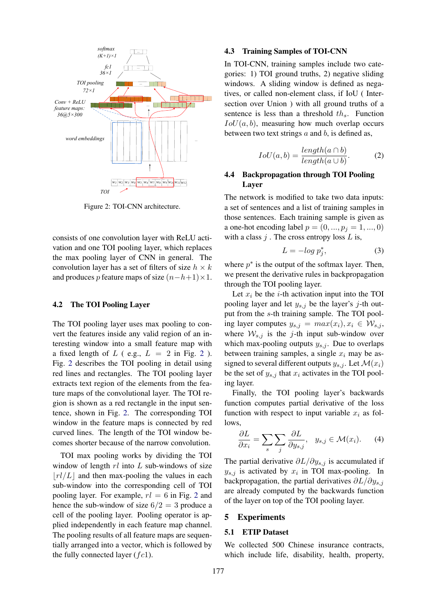<span id="page-3-0"></span>

Figure 2: TOI-CNN architecture.

consists of one convolution layer with ReLU activation and one TOI pooling layer, which replaces the max pooling layer of CNN in general. The convolution layer has a set of filters of size  $h \times k$ and produces p feature maps of size  $(n-h+1)\times 1$ .

#### 4.2 The TOI Pooling Layer

The TOI pooling layer uses max pooling to convert the features inside any valid region of an interesting window into a small feature map with a fixed length of  $L$  ( e.g.,  $L = 2$  $L = 2$  in Fig. 2). Fig. [2](#page-3-0) describes the TOI pooling in detail using red lines and rectangles. The TOI pooling layer extracts text region of the elements from the feature maps of the convolutional layer. The TOI region is shown as a red rectangle in the input sentence, shown in Fig. [2.](#page-3-0) The corresponding TOI window in the feature maps is connected by red curved lines. The length of the TOI window becomes shorter because of the narrow convolution.

TOI max pooling works by dividing the TOI window of length  $rl$  into  $L$  sub-windows of size  $\lfloor r l / L \rfloor$  and then max-pooling the values in each sub-window into the corresponding cell of TOI pooling layer. For example,  $rl = 6$  in Fig. [2](#page-3-0) and hence the sub-window of size  $6/2 = 3$  produce a cell of the pooling layer. Pooling operator is applied independently in each feature map channel. The pooling results of all feature maps are sequentially arranged into a vector, which is followed by the fully connected layer  $(fc1)$ .

#### <span id="page-3-1"></span>4.3 Training Samples of TOI-CNN

In TOI-CNN, training samples include two categories: 1) TOI ground truths, 2) negative sliding windows. A sliding window is defined as negatives, or called non-element class, if IoU ( Intersection over Union ) with all ground truths of a sentence is less than a threshold  $th_s$ . Function  $IoU(a, b)$ , measuring how much overlap occurs between two text strings  $a$  and  $b$ , is defined as,

$$
IoU(a, b) = \frac{length(a \cap b)}{length(a \cup b)}.
$$
 (2)

### 4.4 Backpropagation through TOI Pooling Layer

The network is modified to take two data inputs: a set of sentences and a list of training samples in those sentences. Each training sample is given as a one-hot encoding label  $p = (0, ..., p_i = 1, ..., 0)$ with a class  $j$ . The cross entropy loss  $L$  is,

$$
L = -\log p_j^*,\tag{3}
$$

where  $p^*$  is the output of the softmax layer. Then, we present the derivative rules in backpropagation through the TOI pooling layer.

Let  $x_i$  be the *i*-th activation input into the TOI pooling layer and let  $y_{s,j}$  be the layer's j-th output from the s-th training sample. The TOI pooling layer computes  $y_{s,j} = max(x_i), x_i \in W_{s,j}$ , where  $W_{s,j}$  is the j-th input sub-window over which max-pooling outputs  $y_{s,i}$ . Due to overlaps between training samples, a single  $x_i$  may be assigned to several different outputs  $y_{s,i}$ . Let  $\mathcal{M}(x_i)$ be the set of  $y_{s,j}$  that  $x_i$  activates in the TOI pooling layer.

Finally, the TOI pooling layer's backwards function computes partial derivative of the loss function with respect to input variable  $x_i$  as follows,

$$
\frac{\partial L}{\partial x_i} = \sum_s \sum_j \frac{\partial L}{\partial y_{s,j}}, \quad y_{s,j} \in \mathcal{M}(x_i). \tag{4}
$$

The partial derivative  $\partial L/\partial y_{s,j}$  is accumulated if  $y_{s,j}$  is activated by  $x_i$  in TOI max-pooling. In backpropagation, the partial derivatives  $\partial L/\partial y_{s,j}$ are already computed by the backwards function of the layer on top of the TOI pooling layer.

#### 5 Experiments

### 5.1 ETIP Dataset

We collected 500 Chinese insurance contracts, which include life, disability, health, property,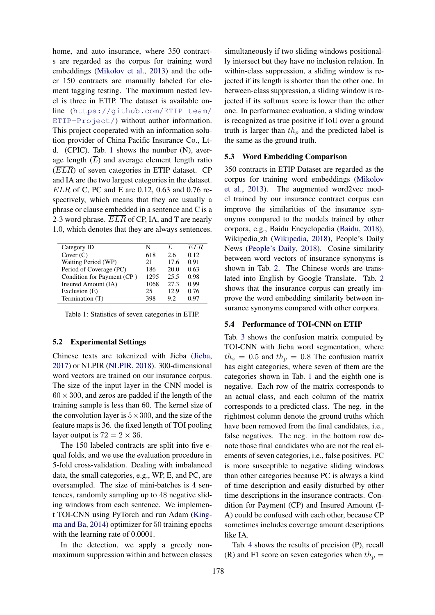home, and auto insurance, where 350 contracts are regarded as the corpus for training word embeddings [\(Mikolov et al.,](#page-6-18) [2013\)](#page-6-18) and the other 150 contracts are manually labeled for element tagging testing. The maximum nested level is three in ETIP. The dataset is available online ([https://github.com/ETIP-team/](https://github.com/ETIP-team/ETIP-Project/) [ETIP-Project/](https://github.com/ETIP-team/ETIP-Project/)) without author information. This project cooperated with an information solution provider of China Pacific Insurance Co., Ltd. (CPIC). Tab. [1](#page-4-1) shows the number (N), average length  $(\overline{L})$  and average element length ratio  $(\overline{ELR})$  of seven categories in ETIP dataset. CP and IA are the two largest categories in the dataset.  $\overline{ELR}$  of C, PC and E are 0.12, 0.63 and 0.76 respectively, which means that they are usually a phrase or clause embedded in a sentence and C is a 2-3 word phrase.  $ELR$  of CP, IA, and T are nearly 1.0, which denotes that they are always sentences.

<span id="page-4-1"></span>

| Category ID                | N    |      | ELR  |
|----------------------------|------|------|------|
| Cover $(C)$                | 618  | 2.6  | 0.12 |
| Waiting Period (WP)        | 21   | 17.6 | 0.91 |
| Period of Coverage (PC)    | 186  | 20.0 | 0.63 |
| Condition for Payment (CP) | 1295 | 25.5 | 0.98 |
| Insured Amount (IA)        | 1068 | 27.3 | 0.99 |
| Exclusion (E)              | 25   | 12.9 | 0.76 |
| Termination (T)            | 398  | 92   | 0.97 |

Table 1: Statistics of seven categories in ETIP.

#### 5.2 Experimental Settings

Chinese texts are tokenized with Jieba [\(Jieba,](#page-6-19) [2017\)](#page-6-19) or NLPIR [\(NLPIR,](#page-7-3) [2018\)](#page-7-3). 300-dimensional word vectors are trained on our insurance corpus. The size of the input layer in the CNN model is  $60 \times 300$ , and zeros are padded if the length of the training sample is less than 60. The kernel size of the convolution layer is  $5 \times 300$ , and the size of the feature maps is 36. the fixed length of TOI pooling layer output is  $72 = 2 \times 36$ .

The 150 labeled contracts are split into five equal folds, and we use the evaluation procedure in 5-fold cross-validation. Dealing with imbalanced data, the small categories, e.g., WP, E, and PC, are oversampled. The size of mini-batches is 4 sentences, randomly sampling up to 48 negative sliding windows from each sentence. We implement TOI-CNN using PyTorch and run Adam [\(King](#page-6-20)[ma and Ba,](#page-6-20) [2014\)](#page-6-20) optimizer for 50 training epochs with the learning rate of 0.0001.

In the detection, we apply a greedy nonmaximum suppression within and between classes

simultaneously if two sliding windows positionally intersect but they have no inclusion relation. In within-class suppression, a sliding window is rejected if its length is shorter than the other one. In between-class suppression, a sliding window is rejected if its softmax score is lower than the other one. In performance evaluation, a sliding window is recognized as true positive if IoU over a ground truth is larger than  $th_p$  and the predicted label is the same as the ground truth.

#### <span id="page-4-0"></span>5.3 Word Embedding Comparison

350 contracts in ETIP Dataset are regarded as the corpus for training word embeddings [\(Mikolov](#page-6-18) [et al.,](#page-6-18) [2013\)](#page-6-18). The augmented word2vec model trained by our insurance contract corpus can improve the similarities of the insurance synonyms compared to the models trained by other corpora, e.g., Baidu Encyclopedia [\(Baidu,](#page-6-21) [2018\)](#page-6-21), Wikipedia zh [\(Wikipedia,](#page-7-4) [2018\)](#page-7-4), People's Daily News [\(People's](#page-7-5) Daily, [2018\)](#page-7-5). Cosine similarity between word vectors of insurance synonyms is shown in Tab. [2.](#page-5-0) The Chinese words are translated into English by Google Translate. Tab. [2](#page-5-0) shows that the insurance corpus can greatly improve the word embedding similarity between insurance synonyms compared with other corpora.

#### 5.4 Performance of TOI-CNN on ETIP

Tab. [3](#page-5-1) shows the confusion matrix computed by TOI-CNN with Jieba word segmentation, where  $th_s = 0.5$  and  $th_p = 0.8$  The confusion matrix has eight categories, where seven of them are the categories shown in Tab. [1](#page-4-1) and the eighth one is negative. Each row of the matrix corresponds to an actual class, and each column of the matrix corresponds to a predicted class. The neg. in the rightmost column denote the ground truths which have been removed from the final candidates, i.e., false negatives. The neg. in the bottom row denote those final candidates who are not the real elements of seven categories, i.e., false positives. PC is more susceptible to negative sliding windows than other categories because PC is always a kind of time description and easily disturbed by other time descriptions in the insurance contracts. Condition for Payment (CP) and Insured Amount (I-A) could be confused with each other, because CP sometimes includes coverage amount descriptions like IA.

Tab. [4](#page-5-2) shows the results of precision (P), recall (R) and F1 score on seven categories when  $th_p =$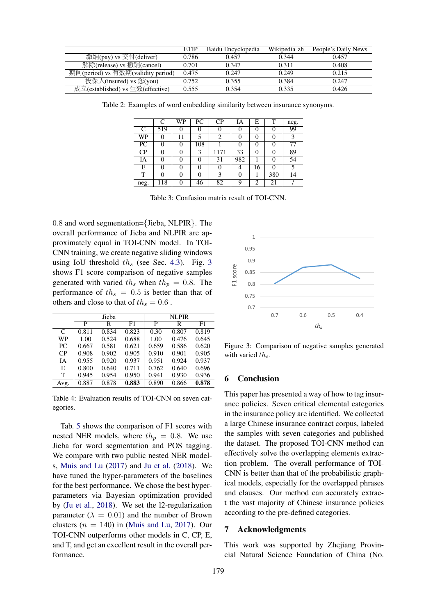<span id="page-5-0"></span>

|                                    | <b>ETIP</b> | Baidu Encyclopedia | Wikipedia_zh | People's Daily News |
|------------------------------------|-------------|--------------------|--------------|---------------------|
| 缴纳(pay) vs 交付(deliver)             | 0.786       | 0.457              | 0.344        | 0.457               |
| 解除(release) vs 撤销(cancel)          | 0.701       | 0.347              | 0.311        | 0.408               |
| 期间(period) vs 有效期(validity period) | 0.475       | 0.247              | 0.249        | 0.215               |
| 投保人(insured) vs 您(you)             | 0.752       | 0.355              | 0.384        | 0.247               |
| 成立(established) vs 生效(effective)   | 0.555       | 0.354              | 0.335        | 0.426               |
|                                    |             |                    |              |                     |

<span id="page-5-1"></span>Table 2: Examples of word embedding similarity between insurance synonyms.

|      | C   | WP | PС       | CP   | IΑ       | E        | T   | neg. |
|------|-----|----|----------|------|----------|----------|-----|------|
| C    | 519 | 0  |          | 0    |          | 0        | 0   | 99   |
| WP   | 0   | 11 |          | 2    | $\theta$ | 0        | 0   | 3    |
| PC   | 0   | 0  | 108      |      |          | $\theta$ | 0   | 77   |
| CP   | 0   | 0  | 3        | 1171 | 33       | $\theta$ | 0   | 89   |
| IA   | 0   | 0  | $\theta$ | 31   | 982      |          | 0   | 54   |
| E    | 0   |    | 0        | 0    | 4        | 16       | 0   |      |
| T    | 0   | 0  | 0        | 3    | 0        |          | 380 | 14   |
| neg. | 118 | 0  | 46       | 82   | 9        | 2        | 21  |      |

Table 3: Confusion matrix result of TOI-CNN.

0.8 and word segmentation={Jieba, NLPIR}. The overall performance of Jieba and NLPIR are approximately equal in TOI-CNN model. In TOI-CNN training, we create negative sliding windows using IoU threshold  $th_s$  (see Sec. [4.3\)](#page-3-1). Fig. [3](#page-5-3) shows F1 score comparison of negative samples generated with varied  $th_s$  when  $th_p = 0.8$ . The performance of  $th_s = 0.5$  is better than that of others and close to that of  $th_s = 0.6$ .

<span id="page-5-2"></span>

|           |       | Jieba |       |       | <b>NLPIR</b> |       |
|-----------|-------|-------|-------|-------|--------------|-------|
|           | P     | R     | F1    | P     | R            | F1    |
| C         | 0.811 | 0.834 | 0.823 | 0.30  | 0.807        | 0.819 |
| <b>WP</b> | 1.00  | 0.524 | 0.688 | 1.00  | 0.476        | 0.645 |
| PC.       | 0.667 | 0.581 | 0.621 | 0.659 | 0.586        | 0.620 |
| CP        | 0.908 | 0.902 | 0.905 | 0.910 | 0.901        | 0.905 |
| IΑ        | 0.955 | 0.920 | 0.937 | 0.951 | 0.924        | 0.937 |
| E         | 0.800 | 0.640 | 0.711 | 0.762 | 0.640        | 0.696 |
| T         | 0.945 | 0.954 | 0.950 | 0.941 | 0.930        | 0.936 |
| Avg.      | 0.887 | 0.878 | 0.883 | 0.890 | 0.866        | 0.878 |

Table 4: Evaluation results of TOI-CNN on seven categories.

Tab. [5](#page-6-22) shows the comparison of F1 scores with nested NER models, where  $th_p = 0.8$ . We use Jieba for word segmentation and POS tagging. We compare with two public nested NER models, [Muis and Lu](#page-6-12) [\(2017\)](#page-6-12) and [Ju et al.](#page-6-13) [\(2018\)](#page-6-13). We have tuned the hyper-parameters of the baselines for the best performance. We chose the best hyperparameters via Bayesian optimization provided by [\(Ju et al.,](#page-6-13) [2018\)](#page-6-13). We set the l2-regularization parameter ( $\lambda = 0.01$ ) and the number of Brown clusters  $(n = 140)$  in [\(Muis and Lu,](#page-6-12) [2017\)](#page-6-12). Our TOI-CNN outperforms other models in C, CP, E, and T, and get an excellent result in the overall performance.

<span id="page-5-3"></span>

Figure 3: Comparison of negative samples generated with varied  $th_s$ .

#### 6 Conclusion

This paper has presented a way of how to tag insurance policies. Seven critical elemental categories in the insurance policy are identified. We collected a large Chinese insurance contract corpus, labeled the samples with seven categories and published the dataset. The proposed TOI-CNN method can effectively solve the overlapping elements extraction problem. The overall performance of TOI-CNN is better than that of the probabilistic graphical models, especially for the overlapped phrases and clauses. Our method can accurately extract the vast majority of Chinese insurance policies according to the pre-defined categories.

### 7 Acknowledgments

This work was supported by Zhejiang Provincial Natural Science Foundation of China (No.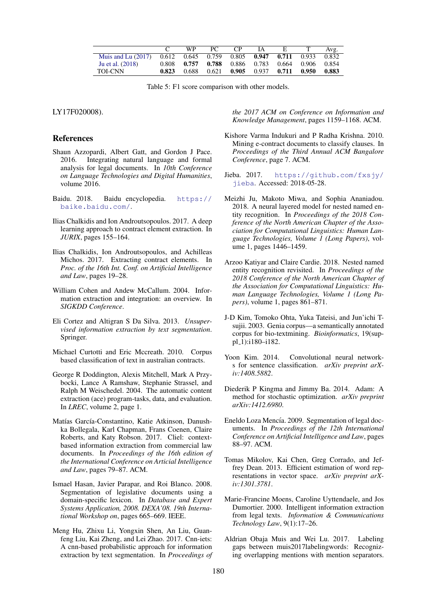<span id="page-6-22"></span>

|                                                                            |       | WP. | PC | CP                                              | IA E | Avg.    |
|----------------------------------------------------------------------------|-------|-----|----|-------------------------------------------------|------|---------|
| Muis and Lu (2017) $0.612$ $0.645$ $0.759$ $0.805$ $0.947$ $0.711$ $0.933$ |       |     |    |                                                 |      | 0.832   |
| Ju et al. (2018)                                                           | 0.808 |     |    | 0.757 0.788 0.886 0.783 0.664 0.906             |      | 0.854   |
| TOI-CNN                                                                    | 0.823 |     |    | $0.688$ $0.621$ $0.905$ $0.937$ $0.711$ $0.950$ |      | - 0.883 |

Table 5: F1 score comparison with other models.

LY17F020008).

#### References

- <span id="page-6-9"></span>Shaun Azzopardi, Albert Gatt, and Gordon J Pace. 2016. Integrating natural language and formal analysis for legal documents. In *10th Conference on Language Technologies and Digital Humanities*, volume 2016.
- <span id="page-6-21"></span>Baidu. 2018. Baidu encyclopedia. [https://](https://baike.baidu.com/) [baike.baidu.com/](https://baike.baidu.com/).
- <span id="page-6-7"></span>Ilias Chalkidis and Ion Androutsopoulos. 2017. A deep learning approach to contract element extraction. In *JURIX*, pages 155–164.
- <span id="page-6-6"></span>Ilias Chalkidis, Ion Androutsopoulos, and Achilleas Michos. 2017. Extracting contract elements. In *Proc. of the 16th Int. Conf. on Artificial Intelligence and Law*, pages 19–28.
- <span id="page-6-3"></span>William Cohen and Andew McCallum. 2004. Information extraction and integration: an overview. In *SIGKDD Conference*.
- <span id="page-6-10"></span>Eli Cortez and Altigran S Da Silva. 2013. *Unsupervised information extraction by text segmentation*. Springer.
- <span id="page-6-4"></span>Michael Curtotti and Eric Mccreath. 2010. Corpus based classification of text in australian contracts.
- <span id="page-6-16"></span>George R Doddington, Alexis Mitchell, Mark A Przybocki, Lance A Ramshaw, Stephanie Strassel, and Ralph M Weischedel. 2004. The automatic content extraction (ace) program-tasks, data, and evaluation. In *LREC*, volume 2, page 1.
- <span id="page-6-8"></span>Matías García-Constantino, Katie Atkinson, Danushka Bollegala, Karl Chapman, Frans Coenen, Claire Roberts, and Katy Robson. 2017. Cliel: contextbased information extraction from commercial law documents. In *Proceedings of the 16th edition of the International Conference on Articial Intelligence and Law*, pages 79–87. ACM.
- <span id="page-6-1"></span>Ismael Hasan, Javier Parapar, and Roi Blanco. 2008. Segmentation of legislative documents using a domain-specific lexicon. In *Database and Expert Systems Application, 2008. DEXA'08. 19th International Workshop on*, pages 665–669. IEEE.
- <span id="page-6-11"></span>Meng Hu, Zhixu Li, Yongxin Shen, An Liu, Guanfeng Liu, Kai Zheng, and Lei Zhao. 2017. Cnn-iets: A cnn-based probabilistic approach for information extraction by text segmentation. In *Proceedings of*

*the 2017 ACM on Conference on Information and Knowledge Management*, pages 1159–1168. ACM.

- <span id="page-6-5"></span>Kishore Varma Indukuri and P Radha Krishna. 2010. Mining e-contract documents to classify clauses. In *Proceedings of the Third Annual ACM Bangalore Conference*, page 7. ACM.
- <span id="page-6-19"></span>Jieba. 2017. [https://github.com/fxsjy/](https://github.com/fxsjy/jieba) [jieba](https://github.com/fxsjy/jieba). Accessed: 2018-05-28.
- <span id="page-6-13"></span>Meizhi Ju, Makoto Miwa, and Sophia Ananiadou. 2018. A neural layered model for nested named entity recognition. In *Proceedings of the 2018 Conference of the North American Chapter of the Association for Computational Linguistics: Human Language Technologies, Volume 1 (Long Papers)*, volume 1, pages 1446–1459.
- <span id="page-6-14"></span>Arzoo Katiyar and Claire Cardie. 2018. Nested named entity recognition revisited. In *Proceedings of the 2018 Conference of the North American Chapter of the Association for Computational Linguistics: Human Language Technologies, Volume 1 (Long Papers)*, volume 1, pages 861–871.
- <span id="page-6-15"></span>J-D Kim, Tomoko Ohta, Yuka Tateisi, and Jun'ichi Tsujii. 2003. Genia corpus—a semantically annotated corpus for bio-textmining. *Bioinformatics*, 19(suppl\_1):i180-i182.
- <span id="page-6-17"></span>Yoon Kim. 2014. Convolutional neural networks for sentence classification. *arXiv preprint arXiv:1408.5882*.
- <span id="page-6-20"></span>Diederik P Kingma and Jimmy Ba. 2014. Adam: A method for stochastic optimization. *arXiv preprint arXiv:1412.6980*.
- <span id="page-6-2"></span>Eneldo Loza Mencía. 2009. Segmentation of legal documents. In *Proceedings of the 12th International Conference on Artificial Intelligence and Law*, pages 88–97. ACM.
- <span id="page-6-18"></span>Tomas Mikolov, Kai Chen, Greg Corrado, and Jeffrey Dean. 2013. Efficient estimation of word representations in vector space. *arXiv preprint arXiv:1301.3781*.
- <span id="page-6-0"></span>Marie-Francine Moens, Caroline Uyttendaele, and Jos Dumortier. 2000. Intelligent information extraction from legal texts. *Information & Communications Technology Law*, 9(1):17–26.
- <span id="page-6-12"></span>Aldrian Obaja Muis and Wei Lu. 2017. Labeling gaps between muis2017labelingwords: Recognizing overlapping mentions with mention separators.